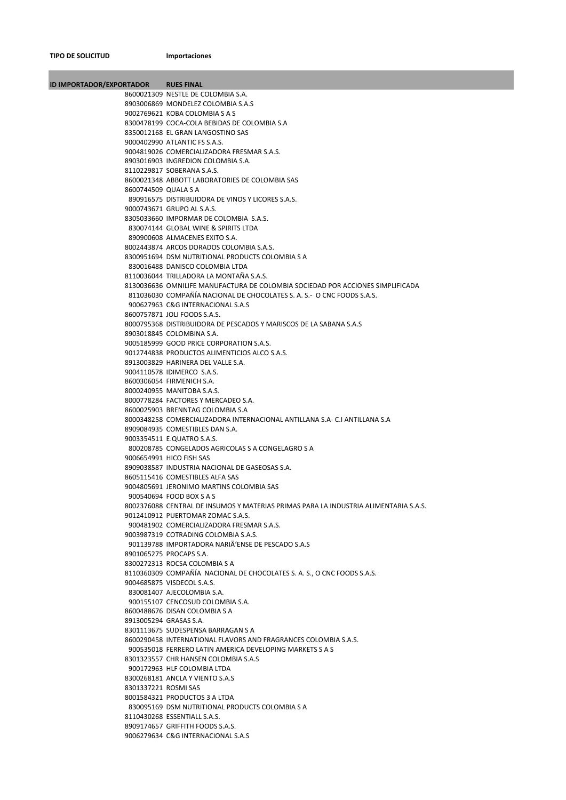**TIPO DE SOLICITUD Importaciones**

**Contract Contract** 

| <b>ID IMPORTADOR/EXPORTADOR</b> | <b>RUES FINAL</b>                                                                                             |
|---------------------------------|---------------------------------------------------------------------------------------------------------------|
|                                 | 8600021309 NESTLE DE COLOMBIA S.A.                                                                            |
|                                 | 8903006869 MONDELEZ COLOMBIA S.A.S                                                                            |
|                                 | 9002769621 KOBA COLOMBIA S A S                                                                                |
|                                 | 8300478199 COCA-COLA BEBIDAS DE COLOMBIA S.A                                                                  |
|                                 | 8350012168 EL GRAN LANGOSTINO SAS<br>9000402990 ATLANTIC FS S.A.S.                                            |
|                                 | 9004819026 COMERCIALIZADORA FRESMAR S.A.S.                                                                    |
|                                 | 8903016903 INGREDION COLOMBIA S.A.                                                                            |
|                                 | 8110229817 SOBERANA S.A.S.                                                                                    |
|                                 | 8600021348 ABBOTT LABORATORIES DE COLOMBIA SAS                                                                |
| 8600744509 QUALA S A            |                                                                                                               |
|                                 | 890916575 DISTRIBUIDORA DE VINOS Y LICORES S.A.S.                                                             |
|                                 | 9000743671 GRUPO AL S.A.S.                                                                                    |
|                                 | 8305033660 IMPORMAR DE COLOMBIA S.A.S.                                                                        |
|                                 | 830074144 GLOBAL WINE & SPIRITS LTDA<br>890900608 ALMACENES EXITO S.A.                                        |
|                                 | 8002443874 ARCOS DORADOS COLOMBIA S.A.S.                                                                      |
|                                 | 8300951694 DSM NUTRITIONAL PRODUCTS COLOMBIA S A                                                              |
|                                 | 830016488 DANISCO COLOMBIA LTDA                                                                               |
|                                 | 8110036044 TRILLADORA LA MONTAÑA S.A.S.                                                                       |
|                                 | 8130036636 OMNILIFE MANUFACTURA DE COLOMBIA SOCIEDAD POR ACCIONES SIMPLIFICADA                                |
|                                 | 811036030 COMPAÑÍA NACIONAL DE CHOCOLATES S. A. S.- O CNC FOODS S.A.S.                                        |
|                                 | 900627963 C&G INTERNACIONAL S.A.S                                                                             |
|                                 | 8600757871 JOLI FOODS S.A.S.                                                                                  |
|                                 | 8000795368 DISTRIBUIDORA DE PESCADOS Y MARISCOS DE LA SABANA S.A.S<br>8903018845 COLOMBINA S.A.               |
|                                 | 9005185999 GOOD PRICE CORPORATION S.A.S.                                                                      |
|                                 | 9012744838 PRODUCTOS ALIMENTICIOS ALCO S.A.S.                                                                 |
|                                 | 8913003829 HARINERA DEL VALLE S.A.                                                                            |
|                                 | 9004110578 IDIMERCO S.A.S.                                                                                    |
|                                 | 8600306054 FIRMENICH S.A.                                                                                     |
|                                 | 8000240955 MANITOBA S.A.S.                                                                                    |
|                                 | 8000778284 FACTORES Y MERCADEO S.A.                                                                           |
|                                 | 8600025903 BRENNTAG COLOMBIA S.A                                                                              |
|                                 | 8000348258 COMERCIALIZADORA INTERNACIONAL ANTILLANA S.A- C.I ANTILLANA S.A<br>8909084935 COMESTIBLES DAN S.A. |
|                                 | 9003354511 E.QUATRO S.A.S.                                                                                    |
|                                 | 800208785 CONGELADOS AGRICOLAS S A CONGELAGRO S A                                                             |
|                                 | 9006654991 HICO FISH SAS                                                                                      |
|                                 | 8909038587 INDUSTRIA NACIONAL DE GASEOSAS S.A.                                                                |
|                                 | 8605115416 COMESTIBLES ALFA SAS                                                                               |
|                                 | 9004805691 JERONIMO MARTINS COLOMBIA SAS<br>900540694 FOOD BOX S A S                                          |
|                                 | 8002376088 CENTRAL DE INSUMOS Y MATERIAS PRIMAS PARA LA INDUSTRIA ALIMENTARIA S.A.S.                          |
|                                 | 9012410912 PUERTOMAR ZOMAC S.A.S.                                                                             |
|                                 | 900481902 COMERCIALIZADORA FRESMAR S.A.S.                                                                     |
|                                 | 9003987319 COTRADING COLOMBIA S.A.S.                                                                          |
|                                 | 901139788 IMPORTADORA NARIÃ'ENSE DE PESCADO S.A.S                                                             |
|                                 | 8901065275 PROCAPS S.A.                                                                                       |
|                                 | 8300272313 ROCSA COLOMBIA S A                                                                                 |
|                                 | 8110360309 COMPAÑÍA NACIONAL DE CHOCOLATES S. A. S., O CNC FOODS S.A.S.<br>9004685875 VISDECOL S.A.S.         |
|                                 | 830081407 AJECOLOMBIA S.A.                                                                                    |
|                                 | 900155107 CENCOSUD COLOMBIA S.A.                                                                              |
|                                 | 8600488676 DISAN COLOMBIA S A                                                                                 |
|                                 | 8913005294 GRASAS S.A.                                                                                        |
|                                 | 8301113675 SUDESPENSA BARRAGAN S A                                                                            |
|                                 | 8600290458 INTERNATIONAL FLAVORS AND FRAGRANCES COLOMBIA S.A.S.                                               |
|                                 | 900535018 FERRERO LATIN AMERICA DEVELOPING MARKETS S A S                                                      |
|                                 | 8301323557 CHR HANSEN COLOMBIA S.A.S<br>900172963 HLF COLOMBIA LTDA                                           |
|                                 | 8300268181 ANCLA Y VIENTO S.A.S                                                                               |
| 8301337221 ROSMI SAS            |                                                                                                               |
|                                 | 8001584321 PRODUCTOS 3 A LTDA                                                                                 |
|                                 | 830095169 DSM NUTRITIONAL PRODUCTS COLOMBIA S A                                                               |
|                                 | 8110430268 ESSENTIALL S.A.S.                                                                                  |
|                                 | 8909174657 GRIFFITH FOODS S.A.S.                                                                              |
|                                 | 9006279634 C&G INTERNACIONAL S.A.S                                                                            |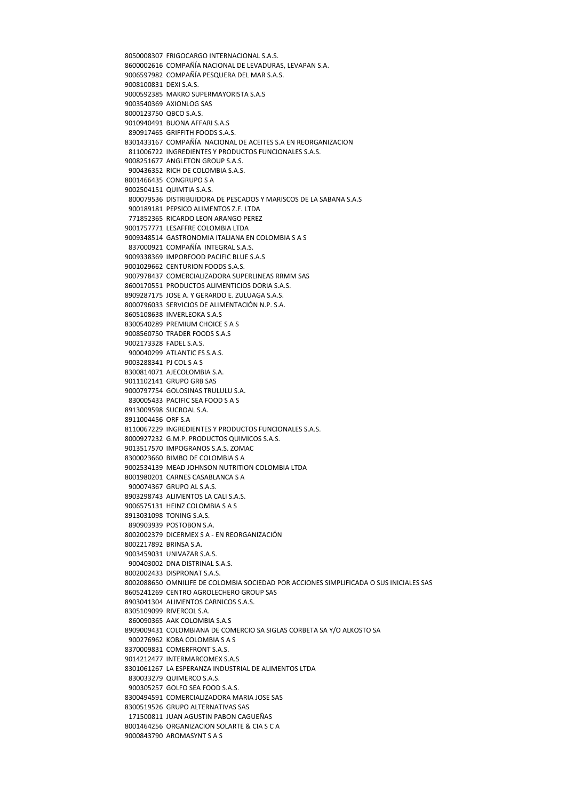8050008307 FRIGOCARGO INTERNACIONAL S.A.S. 8600002616 COMPAÑÍA NACIONAL DE LEVADURAS, LEVAPAN S.A. 9006597982 COMPAÑÍA PESQUERA DEL MAR S.A.S. 9008100831 DEXI S.A.S. 9000592385 MAKRO SUPERMAYORISTA S.A.S 9003540369 AXIONLOG SAS 8000123750 QBCO S.A.S. 9010940491 BUONA AFFARI S.A.S 890917465 GRIFFITH FOODS S.A.S. 8301433167 COMPAÑÍA NACIONAL DE ACEITES S.A EN REORGANIZACION 811006722 INGREDIENTES Y PRODUCTOS FUNCIONALES S.A.S. 9008251677 ANGLETON GROUPS AS 900436352 RICH DE COLOMBIA S.A.S. 8001466435 CONGRUPO S A 9002504151 QUIMTIA S.A.S. 800079536 DISTRIBUIDORA DE PESCADOS Y MARISCOS DE LA SABANA S.A.S 900189181 PEPSICO ALIMENTOS 7 F LTDA 771852365 RICARDO LEON ARANGO PEREZ 9001757771 LESAFFRE COLOMBIA LTDA 9009348514 GASTRONOMIA ITALIANA EN COLOMBIA S A S 837000921 COMPAÑÍA INTEGRAL S.A.S. 9009338369 IMPORFOOD PACIFIC BLUE S.A.S 9001029662 CENTURION FOODS S.A.S. 9007978437 COMERCIALIZADORA SUPERLINEAS RRMM SAS 8600170551 PRODUCTOS ALIMENTICIOS DORIA S.A.S. 8909287175 JOSE A. Y GERARDO E. ZULUAGA S.A.S. 8000796033 SERVICIOS DE ALIMENTACIÓN N.P. S.A. 8605108638 INVERLEOKA S.A.S 8300540289 PREMIUM CHOICE S A S 9008560750 TRADER FOODS S.A.S 9002173328 FADEL S.A.S. 900040299 ATLANTIC FS S.A.S. 9003288341 PJ COL S A S 8300814071 AJECOLOMBIA S.A. 9011102141 GRUPO GRB SAS 9000797754 GOLOSINAS TRULULU S.A. 830005433 PACIFIC SEA FOOD S A S 8913009598 SUCROAL S.A. 8911004456 ORF S.A 8110067229 INGREDIENTES Y PRODUCTOS FUNCIONALES S.A.S. 8000927232 G.M.P. PRODUCTOS QUIMICOS S.A.S. 9013517570 IMPOGRANOS S.A.S. ZOMAC 8300023660 BIMBO DE COLOMBIA S A 9002534139 MEAD JOHNSON NUTRITION COLOMBIA LTDA 8001980201 CARNES CASABLANCA S A 900074367 GRUPO AL S.A.S. 8903298743 ALIMENTOS LA CALI S.A.S. 9006575131 HEINZ COLOMBIA S A S 8913031098 TONING S.A.S. 890903939 POSTOBON S.A. 8002002379 DICERMEX S A ‐ EN REORGANIZACIÓN 8002217892 BRINSA S.A. 9003459031 UNIVAZAR S.A.S. 900403002 DNA DISTRINAL S.A.S. 8002002433 DISPRONAT S.A.S. 8002088650 OMNILIFE DE COLOMBIA SOCIEDAD POR ACCIONES SIMPLIFICADA O SUS INICIALES SAS 8605241269 CENTRO AGROLECHERO GROUP SAS 8903041304 ALIMENTOS CARNICOS S.A.S. 8305109099 RIVERCOL S.A. 860090365 AAK COLOMBIA S.A.S 8909009431 COLOMBIANA DE COMERCIO SA SIGLAS CORBETA SA Y/O ALKOSTO SA 900276962 KOBA COLOMBIA S A S 8370009831 COMERFRONT S.A.S. 9014212477 INTERMARCOMEX S.A.S 8301061267 LA ESPERANZA INDUSTRIAL DE ALIMENTOS LTDA 830033279 QUIMERCO S.A.S. 900305257 GOLFO SEA FOOD S.A.S. 8300494591 COMERCIALIZADORA MARIA JOSE SAS 8300519526 GRUPO ALTERNATIVAS SAS 171500811 JUAN AGUSTIN PABON CAGUEÑAS 8001464256 ORGANIZACION SOLARTE & CIA S C A 9000843790 AROMASYNT S A S